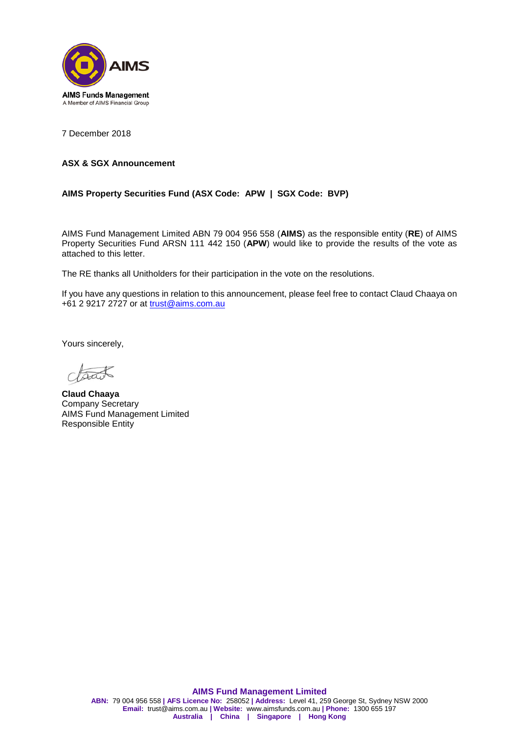

7 December 2018

## **ASX & SGX Announcement**

## **AIMS Property Securities Fund (ASX Code: APW | SGX Code: BVP)**

AIMS Fund Management Limited ABN 79 004 956 558 (**AIMS**) as the responsible entity (**RE**) of AIMS Property Securities Fund ARSN 111 442 150 (**APW**) would like to provide the results of the vote as attached to this letter.

The RE thanks all Unitholders for their participation in the vote on the resolutions.

If you have any questions in relation to this announcement, please feel free to contact Claud Chaaya on +61 2 9217 2727 or at [trust@aims.com.au](mailto:trust@aims.com.au)

Yours sincerely,

tract

**Claud Chaaya** Company Secretary AIMS Fund Management Limited Responsible Entity